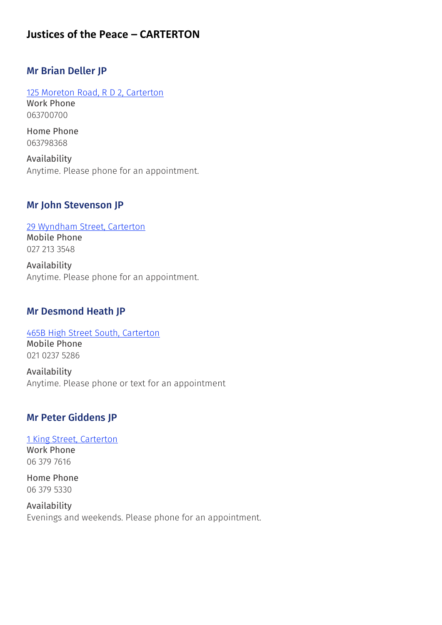# **Justices of the Peace – CARTERTON**

### Mr Brian Deller JP

[125 Moreton Road, R D 2, Carterton](https://www.google.com/maps/place/125%2bMoreton%2bRoad%2c%2bR%2bD%2b2%2c%2bCarterton) Work Phone 063700700

Home Phone 063798368

Availability Anytime. Please phone for an appointment.

#### Mr John Stevenson JP

[29 Wyndham Street, Carterton](https://www.google.com/maps/place/29%2bWyndham%2bStreet%2c%2bCarterton) Mobile Phone

027 213 3548

Availability Anytime. Please phone for an appointment.

#### Mr Desmond Heath JP

[465B High Street South, Carterton](https://www.google.com/maps/place/465B%2bHigh%2bStreet%2bSouth%2c%2bCarterton) Mobile Phone

021 0237 5286

Availability Anytime. Please phone or text for an appointment

## Mr Peter Giddens JP

[1 King Street, Carterton](https://www.google.com/maps/place/1%2bKing%2bStreet%2c%2bCarterton) Work Phone 06 379 7616

Home Phone 06 379 5330

Availability Evenings and weekends. Please phone for an appointment.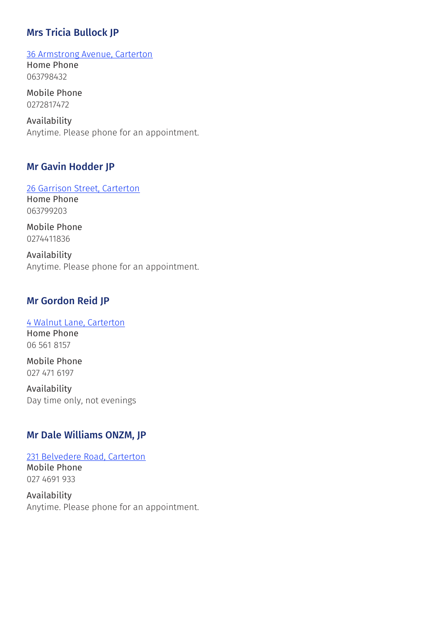# Mrs Tricia Bullock JP

[36 Armstrong Avenue, Carterton](https://www.google.com/maps/place/36%2bArmstrong%2bAvenue%2c%2bCarterton) Home Phone 063798432

Mobile Phone 0272817472

Availability Anytime. Please phone for an appointment.

#### Mr Gavin Hodder JP

[26 Garrison Street, Carterton](https://www.google.com/maps/place/26%2bGarrison%2bStreet%2c%2bCarterton) Home Phone 063799203

Mobile Phone 0274411836

Availability Anytime. Please phone for an appointment.

## Mr Gordon Reid JP

#### [4 Walnut Lane, Carterton](https://www.google.com/maps/place/4%2bWalnut%2bLane%2c%2bCarterton)

Home Phone 06 561 8157

Mobile Phone 027 471 6197

Availability Day time only, not evenings

### Mr Dale Williams ONZM, JP

[231 Belvedere Road, Carterton](https://www.google.com/maps/place/231%2bBelvedere%2bRoad%2c%2bCarterton) Mobile Phone 027 4691 933

Availability Anytime. Please phone for an appointment.